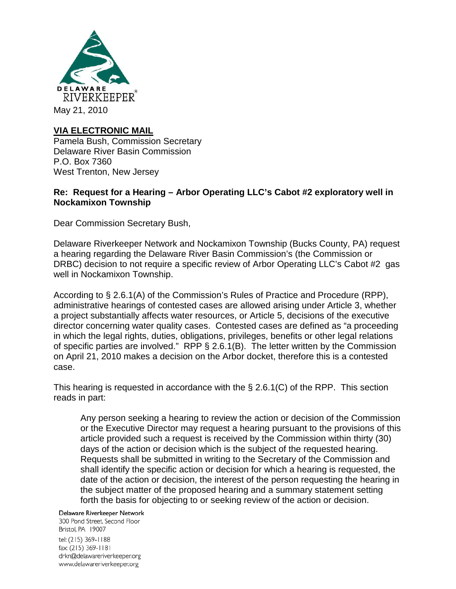

# **VIA ELECTRONIC MAIL**

Pamela Bush, Commission Secretary Delaware River Basin Commission P.O. Box 7360 West Trenton, New Jersey

## **Re: Request for a Hearing – Arbor Operating LLC's Cabot #2 exploratory well in Nockamixon Township**

Dear Commission Secretary Bush,

Delaware Riverkeeper Network and Nockamixon Township (Bucks County, PA) request a hearing regarding the Delaware River Basin Commission's (the Commission or DRBC) decision to not require a specific review of Arbor Operating LLC's Cabot #2 gas well in Nockamixon Township.

According to § 2.6.1(A) of the Commission's Rules of Practice and Procedure (RPP), administrative hearings of contested cases are allowed arising under Article 3, whether a project substantially affects water resources, or Article 5, decisions of the executive director concerning water quality cases. Contested cases are defined as "a proceeding in which the legal rights, duties, obligations, privileges, benefits or other legal relations of specific parties are involved." RPP § 2.6.1(B). The letter written by the Commission on April 21, 2010 makes a decision on the Arbor docket, therefore this is a contested case.

This hearing is requested in accordance with the § 2.6.1(C) of the RPP. This section reads in part:

Any person seeking a hearing to review the action or decision of the Commission or the Executive Director may request a hearing pursuant to the provisions of this article provided such a request is received by the Commission within thirty (30) days of the action or decision which is the subject of the requested hearing. Requests shall be submitted in writing to the Secretary of the Commission and shall identify the specific action or decision for which a hearing is requested, the date of the action or decision, the interest of the person requesting the hearing in the subject matter of the proposed hearing and a summary statement setting forth the basis for objecting to or seeking review of the action or decision.

#### Delaware Riverkeeper Network

300 Pond Street. Second Floor Bristol, PA 19007 tel: (215) 369-1188 fax: (215) 369-1181 drkn@delawareriverkeeper.org www.delawareriverkeeper.org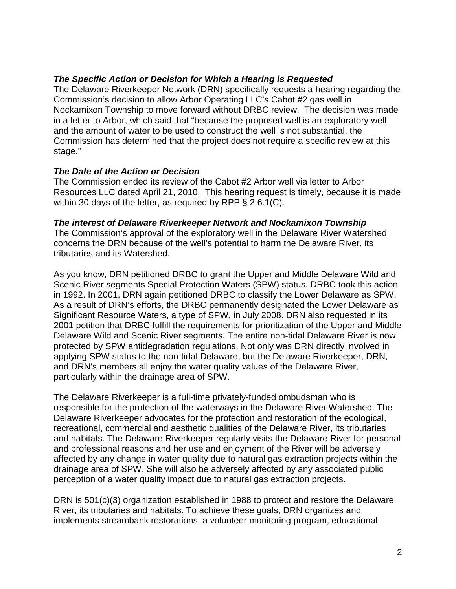## *The Specific Action or Decision for Which a Hearing is Requested*

The Delaware Riverkeeper Network (DRN) specifically requests a hearing regarding the Commission's decision to allow Arbor Operating LLC's Cabot #2 gas well in Nockamixon Township to move forward without DRBC review. The decision was made in a letter to Arbor, which said that "because the proposed well is an exploratory well and the amount of water to be used to construct the well is not substantial, the Commission has determined that the project does not require a specific review at this stage."

#### *The Date of the Action or Decision*

The Commission ended its review of the Cabot #2 Arbor well via letter to Arbor Resources LLC dated April 21, 2010. This hearing request is timely, because it is made within 30 days of the letter, as required by RPP § 2.6.1(C).

#### *The interest of Delaware Riverkeeper Network and Nockamixon Township*

The Commission's approval of the exploratory well in the Delaware River Watershed concerns the DRN because of the well's potential to harm the Delaware River, its tributaries and its Watershed.

As you know, DRN petitioned DRBC to grant the Upper and Middle Delaware Wild and Scenic River segments Special Protection Waters (SPW) status. DRBC took this action in 1992. In 2001, DRN again petitioned DRBC to classify the Lower Delaware as SPW. As a result of DRN's efforts, the DRBC permanently designated the Lower Delaware as Significant Resource Waters, a type of SPW, in July 2008. DRN also requested in its 2001 petition that DRBC fulfill the requirements for prioritization of the Upper and Middle Delaware Wild and Scenic River segments. The entire non-tidal Delaware River is now protected by SPW antidegradation regulations. Not only was DRN directly involved in applying SPW status to the non-tidal Delaware, but the Delaware Riverkeeper, DRN, and DRN's members all enjoy the water quality values of the Delaware River, particularly within the drainage area of SPW.

The Delaware Riverkeeper is a full-time privately-funded ombudsman who is responsible for the protection of the waterways in the Delaware River Watershed. The Delaware Riverkeeper advocates for the protection and restoration of the ecological, recreational, commercial and aesthetic qualities of the Delaware River, its tributaries and habitats. The Delaware Riverkeeper regularly visits the Delaware River for personal and professional reasons and her use and enjoyment of the River will be adversely affected by any change in water quality due to natural gas extraction projects within the drainage area of SPW. She will also be adversely affected by any associated public perception of a water quality impact due to natural gas extraction projects.

DRN is 501(c)(3) organization established in 1988 to protect and restore the Delaware River, its tributaries and habitats. To achieve these goals, DRN organizes and implements streambank restorations, a volunteer monitoring program, educational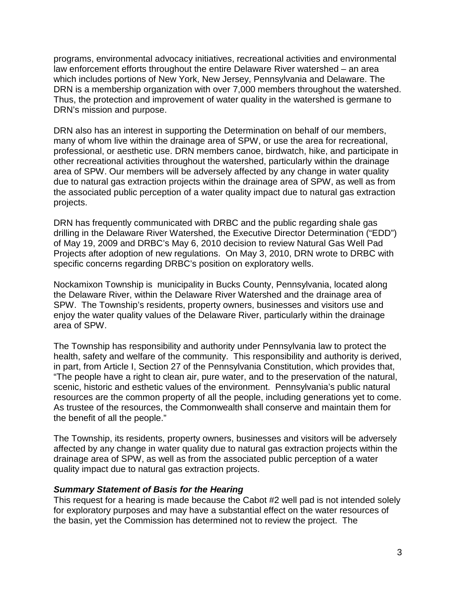programs, environmental advocacy initiatives, recreational activities and environmental law enforcement efforts throughout the entire Delaware River watershed – an area which includes portions of New York, New Jersey, Pennsylvania and Delaware. The DRN is a membership organization with over 7,000 members throughout the watershed. Thus, the protection and improvement of water quality in the watershed is germane to DRN's mission and purpose.

DRN also has an interest in supporting the Determination on behalf of our members, many of whom live within the drainage area of SPW, or use the area for recreational, professional, or aesthetic use. DRN members canoe, birdwatch, hike, and participate in other recreational activities throughout the watershed, particularly within the drainage area of SPW. Our members will be adversely affected by any change in water quality due to natural gas extraction projects within the drainage area of SPW, as well as from the associated public perception of a water quality impact due to natural gas extraction projects.

DRN has frequently communicated with DRBC and the public regarding shale gas drilling in the Delaware River Watershed, the Executive Director Determination ("EDD") of May 19, 2009 and DRBC's May 6, 2010 decision to review Natural Gas Well Pad Projects after adoption of new regulations. On May 3, 2010, DRN wrote to DRBC with specific concerns regarding DRBC's position on exploratory wells.

Nockamixon Township is municipality in Bucks County, Pennsylvania, located along the Delaware River, within the Delaware River Watershed and the drainage area of SPW. The Township's residents, property owners, businesses and visitors use and enjoy the water quality values of the Delaware River, particularly within the drainage area of SPW.

The Township has responsibility and authority under Pennsylvania law to protect the health, safety and welfare of the community. This responsibility and authority is derived, in part, from Article I, Section 27 of the Pennsylvania Constitution, which provides that, "The people have a right to clean air, pure water, and to the preservation of the natural, scenic, historic and esthetic values of the environment. Pennsylvania's public natural resources are the common property of all the people, including generations yet to come. As trustee of the resources, the Commonwealth shall conserve and maintain them for the benefit of all the people."

The Township, its residents, property owners, businesses and visitors will be adversely affected by any change in water quality due to natural gas extraction projects within the drainage area of SPW, as well as from the associated public perception of a water quality impact due to natural gas extraction projects.

## *Summary Statement of Basis for the Hearing*

This request for a hearing is made because the Cabot #2 well pad is not intended solely for exploratory purposes and may have a substantial effect on the water resources of the basin, yet the Commission has determined not to review the project. The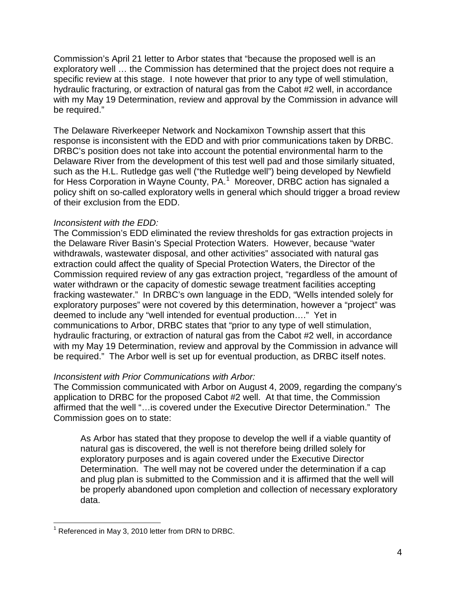Commission's April 21 letter to Arbor states that "because the proposed well is an exploratory well … the Commission has determined that the project does not require a specific review at this stage. I note however that prior to any type of well stimulation, hydraulic fracturing, or extraction of natural gas from the Cabot #2 well, in accordance with my May 19 Determination, review and approval by the Commission in advance will be required."

The Delaware Riverkeeper Network and Nockamixon Township assert that this response is inconsistent with the EDD and with prior communications taken by DRBC. DRBC's position does not take into account the potential environmental harm to the Delaware River from the development of this test well pad and those similarly situated, such as the H.L. Rutledge gas well ("the Rutledge well") being developed by Newfield for Hess Corporation in Wayne County, PA.<sup>[1](#page-3-0)</sup> Moreover, DRBC action has signaled a policy shift on so-called exploratory wells in general which should trigger a broad review of their exclusion from the EDD.

## *Inconsistent with the EDD:*

The Commission's EDD eliminated the review thresholds for gas extraction projects in the Delaware River Basin's Special Protection Waters. However, because "water withdrawals, wastewater disposal, and other activities" associated with natural gas extraction could affect the quality of Special Protection Waters, the Director of the Commission required review of any gas extraction project, "regardless of the amount of water withdrawn or the capacity of domestic sewage treatment facilities accepting fracking wastewater." In DRBC's own language in the EDD, "Wells intended solely for exploratory purposes" were not covered by this determination, however a "project" was deemed to include any "well intended for eventual production…." Yet in communications to Arbor, DRBC states that "prior to any type of well stimulation, hydraulic fracturing, or extraction of natural gas from the Cabot #2 well, in accordance with my May 19 Determination, review and approval by the Commission in advance will be required." The Arbor well is set up for eventual production, as DRBC itself notes.

# *Inconsistent with Prior Communications with Arbor:*

The Commission communicated with Arbor on August 4, 2009, regarding the company's application to DRBC for the proposed Cabot #2 well. At that time, the Commission affirmed that the well "…is covered under the Executive Director Determination." The Commission goes on to state:

As Arbor has stated that they propose to develop the well if a viable quantity of natural gas is discovered, the well is not therefore being drilled solely for exploratory purposes and is again covered under the Executive Director Determination. The well may not be covered under the determination if a cap and plug plan is submitted to the Commission and it is affirmed that the well will be properly abandoned upon completion and collection of necessary exploratory data.

<span id="page-3-0"></span> $1$  Referenced in May 3, 2010 letter from DRN to DRBC.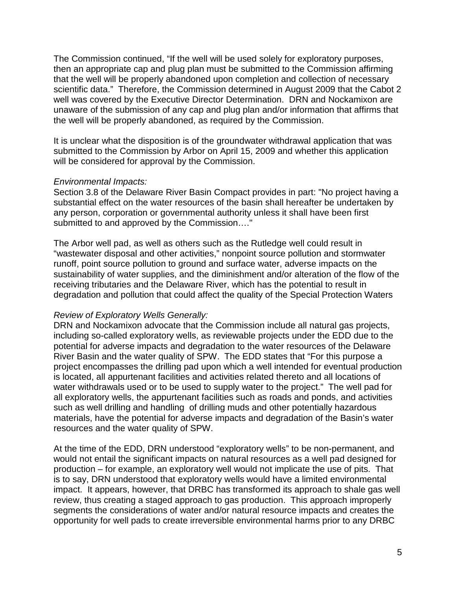The Commission continued, "If the well will be used solely for exploratory purposes, then an appropriate cap and plug plan must be submitted to the Commission affirming that the well will be properly abandoned upon completion and collection of necessary scientific data." Therefore, the Commission determined in August 2009 that the Cabot 2 well was covered by the Executive Director Determination. DRN and Nockamixon are unaware of the submission of any cap and plug plan and/or information that affirms that the well will be properly abandoned, as required by the Commission.

It is unclear what the disposition is of the groundwater withdrawal application that was submitted to the Commission by Arbor on April 15, 2009 and whether this application will be considered for approval by the Commission.

## *Environmental Impacts:*

Section 3.8 of the Delaware River Basin Compact provides in part: "No project having a substantial effect on the water resources of the basin shall hereafter be undertaken by any person, corporation or governmental authority unless it shall have been first submitted to and approved by the Commission…."

The Arbor well pad, as well as others such as the Rutledge well could result in "wastewater disposal and other activities," nonpoint source pollution and stormwater runoff, point source pollution to ground and surface water, adverse impacts on the sustainability of water supplies, and the diminishment and/or alteration of the flow of the receiving tributaries and the Delaware River, which has the potential to result in degradation and pollution that could affect the quality of the Special Protection Waters

## *Review of Exploratory Wells Generally:*

DRN and Nockamixon advocate that the Commission include all natural gas projects, including so-called exploratory wells, as reviewable projects under the EDD due to the potential for adverse impacts and degradation to the water resources of the Delaware River Basin and the water quality of SPW. The EDD states that "For this purpose a project encompasses the drilling pad upon which a well intended for eventual production is located, all appurtenant facilities and activities related thereto and all locations of water withdrawals used or to be used to supply water to the project." The well pad for all exploratory wells, the appurtenant facilities such as roads and ponds, and activities such as well drilling and handling of drilling muds and other potentially hazardous materials, have the potential for adverse impacts and degradation of the Basin's water resources and the water quality of SPW.

At the time of the EDD, DRN understood "exploratory wells" to be non-permanent, and would not entail the significant impacts on natural resources as a well pad designed for production – for example, an exploratory well would not implicate the use of pits. That is to say, DRN understood that exploratory wells would have a limited environmental impact. It appears, however, that DRBC has transformed its approach to shale gas well review, thus creating a staged approach to gas production. This approach improperly segments the considerations of water and/or natural resource impacts and creates the opportunity for well pads to create irreversible environmental harms prior to any DRBC